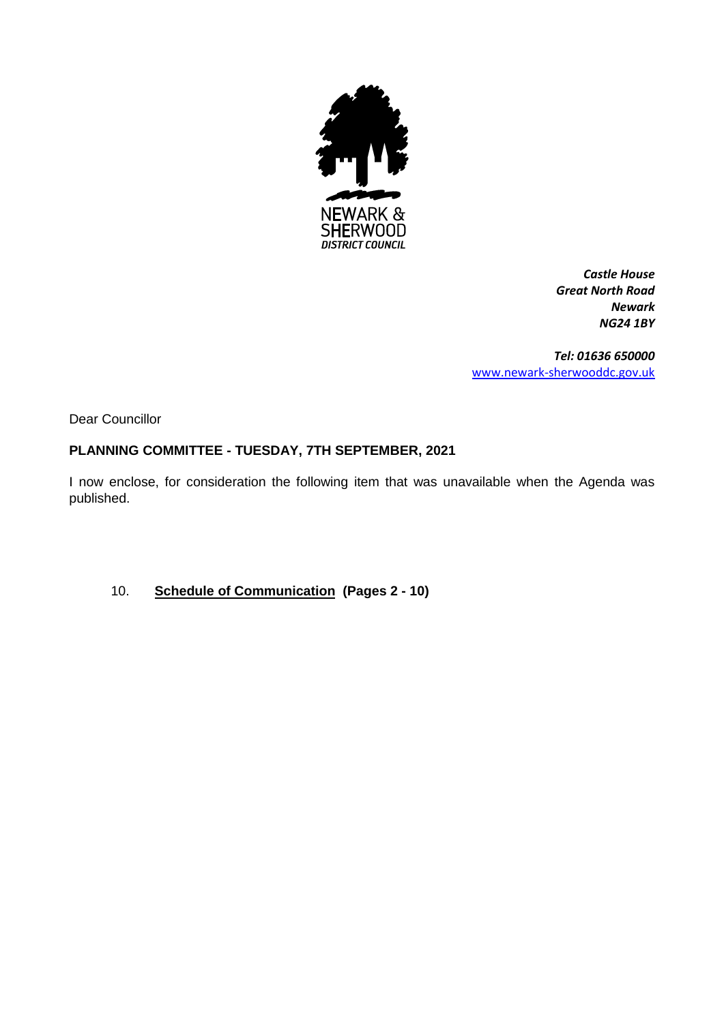

*Castle House Great North Road Newark NG24 1BY*

*Tel: 01636 650000* [www.newark-sherwooddc.gov.uk](http://www.newark-sherwooddc.gov.uk/)

Dear Councillor

#### **PLANNING COMMITTEE - TUESDAY, 7TH SEPTEMBER, 2021**

I now enclose, for consideration the following item that was unavailable when the Agenda was published.

10. **Schedule of Communication (Pages 2 - 10)**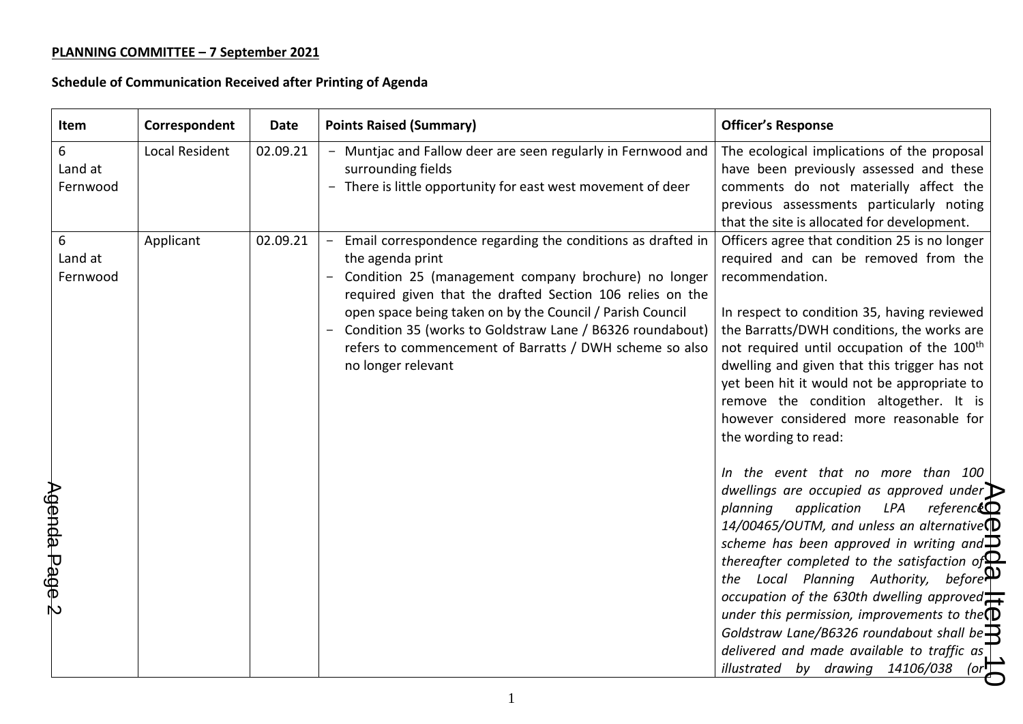| Item                                      | Correspondent         | <b>Date</b> | <b>Points Raised (Summary)</b>                                                                                                                                                                                                                                                                                                                                                                                        | <b>Officer's Response</b>                                                                                                                                                                                                                                                                                                                                                                                                                                                                                                                                                                                                                                                                                                                                                                                                                                                                                                                                                                                                                                                                                                                                        |
|-------------------------------------------|-----------------------|-------------|-----------------------------------------------------------------------------------------------------------------------------------------------------------------------------------------------------------------------------------------------------------------------------------------------------------------------------------------------------------------------------------------------------------------------|------------------------------------------------------------------------------------------------------------------------------------------------------------------------------------------------------------------------------------------------------------------------------------------------------------------------------------------------------------------------------------------------------------------------------------------------------------------------------------------------------------------------------------------------------------------------------------------------------------------------------------------------------------------------------------------------------------------------------------------------------------------------------------------------------------------------------------------------------------------------------------------------------------------------------------------------------------------------------------------------------------------------------------------------------------------------------------------------------------------------------------------------------------------|
| 6<br>Land at<br>Fernwood                  | <b>Local Resident</b> | 02.09.21    | - Muntjac and Fallow deer are seen regularly in Fernwood and<br>surrounding fields<br>- There is little opportunity for east west movement of deer                                                                                                                                                                                                                                                                    | The ecological implications of the proposal<br>have been previously assessed and these<br>comments do not materially affect the<br>previous assessments particularly noting<br>that the site is allocated for development.                                                                                                                                                                                                                                                                                                                                                                                                                                                                                                                                                                                                                                                                                                                                                                                                                                                                                                                                       |
| 6<br>Land at<br>Fernwood<br>Agenda Page 2 | Applicant             | 02.09.21    | - Email correspondence regarding the conditions as drafted in<br>the agenda print<br>- Condition 25 (management company brochure) no longer<br>required given that the drafted Section 106 relies on the<br>open space being taken on by the Council / Parish Council<br>- Condition 35 (works to Goldstraw Lane / B6326 roundabout)<br>refers to commencement of Barratts / DWH scheme so also<br>no longer relevant | Officers agree that condition 25 is no longer<br>required and can be removed from the<br>recommendation.<br>In respect to condition 35, having reviewed<br>the Barratts/DWH conditions, the works are<br>not required until occupation of the 100 <sup>th</sup><br>dwelling and given that this trigger has not<br>yet been hit it would not be appropriate to<br>remove the condition altogether. It is<br>however considered more reasonable for<br>the wording to read:<br>In the event that no more than 100<br>dwellings are occupied as approved under $\triangleright$<br>planning<br>application<br>LPA<br>reference<br>14/00465/OUTM, and unless an alternative $\mathbb D$<br>scheme has been approved in writing and $\mathbf P$<br>thereafter completed to the satisfaction of $\mathbf{Q}$<br>the Local Planning Authority, before $\mathbf{\mathcal{P}}$<br>occupation of the 630th dwelling approved $\frac{1}{\sqrt{2}}$<br>under this permission, improvements to the $\mathbb D$<br>Goldstraw Lane/B6326 roundabout shall be $\mathbf{\overline{R}}$<br>delivered and made available to traffic as<br>illustrated by drawing 14106/038<br>(or) |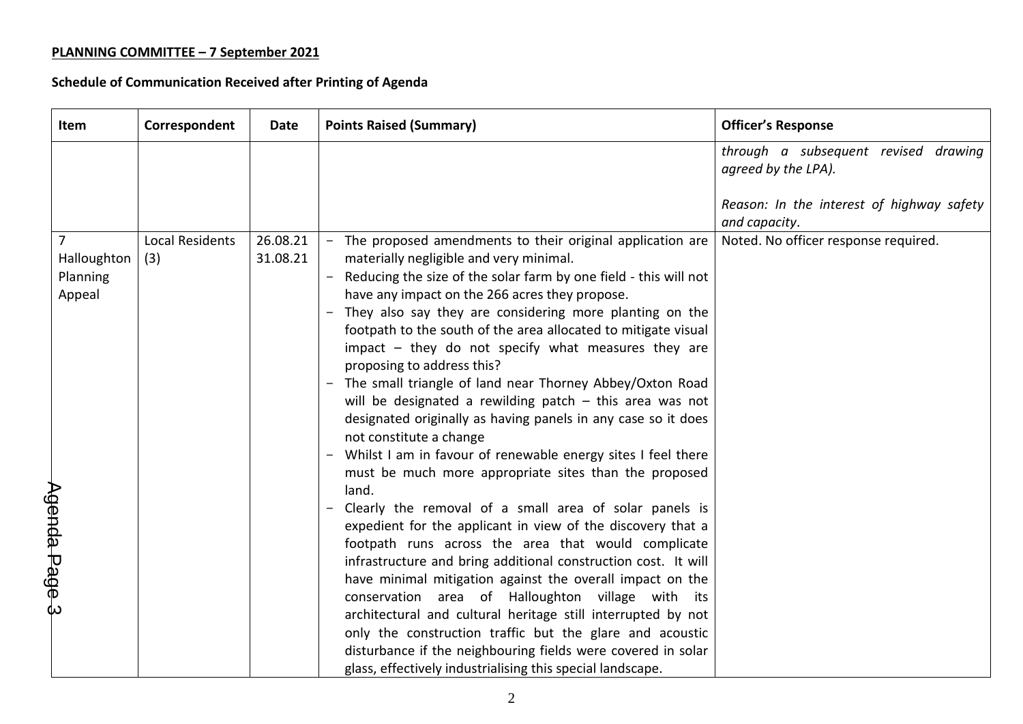ť

| Item                                               | Correspondent                 | Date                 | <b>Points Raised (Summary)</b>                                                                                                                                                                                                                                                                                                                                                                                                                                                                                                                                                                                                                                                                                                                                                                                                                                                                                                                                                                                                                                                                                                                                                                                                                                                                                                                                                                                                       | <b>Officer's Response</b>                                                                                                 |
|----------------------------------------------------|-------------------------------|----------------------|--------------------------------------------------------------------------------------------------------------------------------------------------------------------------------------------------------------------------------------------------------------------------------------------------------------------------------------------------------------------------------------------------------------------------------------------------------------------------------------------------------------------------------------------------------------------------------------------------------------------------------------------------------------------------------------------------------------------------------------------------------------------------------------------------------------------------------------------------------------------------------------------------------------------------------------------------------------------------------------------------------------------------------------------------------------------------------------------------------------------------------------------------------------------------------------------------------------------------------------------------------------------------------------------------------------------------------------------------------------------------------------------------------------------------------------|---------------------------------------------------------------------------------------------------------------------------|
|                                                    |                               |                      |                                                                                                                                                                                                                                                                                                                                                                                                                                                                                                                                                                                                                                                                                                                                                                                                                                                                                                                                                                                                                                                                                                                                                                                                                                                                                                                                                                                                                                      | through a subsequent revised drawing<br>agreed by the LPA).<br>Reason: In the interest of highway safety<br>and capacity. |
| Halloughton<br>Planning<br>Appeal<br>Agenda Page 3 | <b>Local Residents</b><br>(3) | 26.08.21<br>31.08.21 | - The proposed amendments to their original application are<br>materially negligible and very minimal.<br>Reducing the size of the solar farm by one field - this will not<br>have any impact on the 266 acres they propose.<br>They also say they are considering more planting on the<br>footpath to the south of the area allocated to mitigate visual<br>impact - they do not specify what measures they are<br>proposing to address this?<br>The small triangle of land near Thorney Abbey/Oxton Road<br>will be designated a rewilding patch $-$ this area was not<br>designated originally as having panels in any case so it does<br>not constitute a change<br>Whilst I am in favour of renewable energy sites I feel there<br>must be much more appropriate sites than the proposed<br>land.<br>Clearly the removal of a small area of solar panels is<br>expedient for the applicant in view of the discovery that a<br>footpath runs across the area that would complicate<br>infrastructure and bring additional construction cost. It will<br>have minimal mitigation against the overall impact on the<br>conservation area of Halloughton village with its<br>architectural and cultural heritage still interrupted by not<br>only the construction traffic but the glare and acoustic<br>disturbance if the neighbouring fields were covered in solar<br>glass, effectively industrialising this special landscape. | Noted. No officer response required.                                                                                      |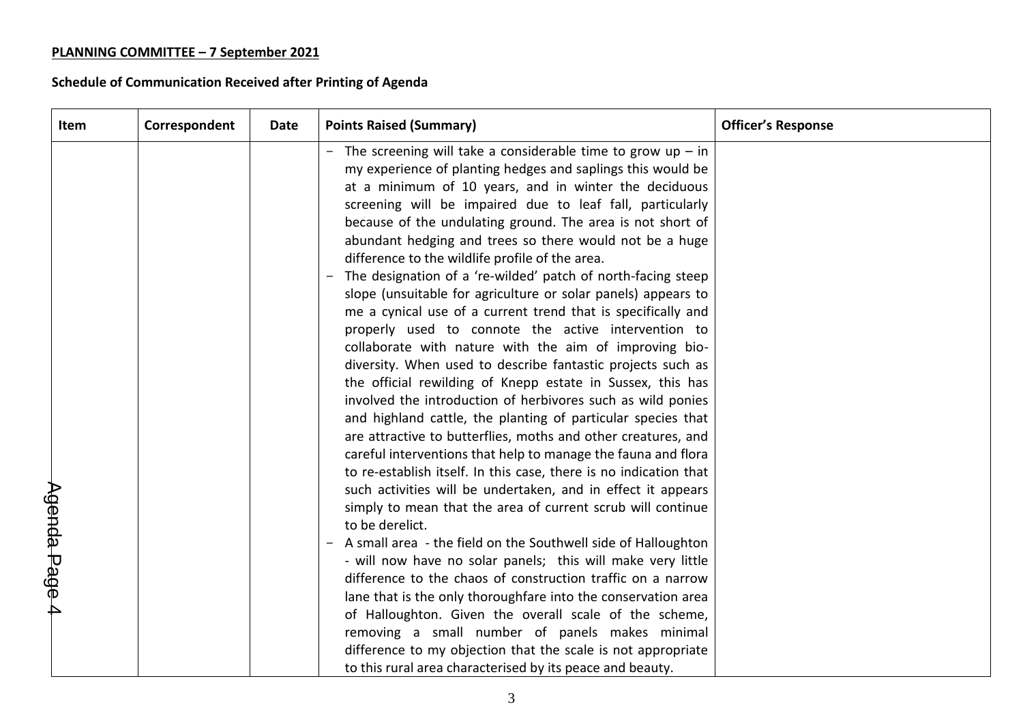| Item          | Correspondent | <b>Date</b> | <b>Points Raised (Summary)</b>                                                                                                                                                                                                                                                                                                                                                                                                                                                                                                                                                                                                                                                                                                                                                                                                                                                                                                                                                                                                                                                                                                                                                                                                                                                                                                                                                                                                                                                                                                                                                                                                                                                                                                                                                                                     | <b>Officer's Response</b> |
|---------------|---------------|-------------|--------------------------------------------------------------------------------------------------------------------------------------------------------------------------------------------------------------------------------------------------------------------------------------------------------------------------------------------------------------------------------------------------------------------------------------------------------------------------------------------------------------------------------------------------------------------------------------------------------------------------------------------------------------------------------------------------------------------------------------------------------------------------------------------------------------------------------------------------------------------------------------------------------------------------------------------------------------------------------------------------------------------------------------------------------------------------------------------------------------------------------------------------------------------------------------------------------------------------------------------------------------------------------------------------------------------------------------------------------------------------------------------------------------------------------------------------------------------------------------------------------------------------------------------------------------------------------------------------------------------------------------------------------------------------------------------------------------------------------------------------------------------------------------------------------------------|---------------------------|
| Agenda Page 4 |               |             | - The screening will take a considerable time to grow up - in<br>my experience of planting hedges and saplings this would be<br>at a minimum of 10 years, and in winter the deciduous<br>screening will be impaired due to leaf fall, particularly<br>because of the undulating ground. The area is not short of<br>abundant hedging and trees so there would not be a huge<br>difference to the wildlife profile of the area.<br>The designation of a 're-wilded' patch of north-facing steep<br>slope (unsuitable for agriculture or solar panels) appears to<br>me a cynical use of a current trend that is specifically and<br>properly used to connote the active intervention to<br>collaborate with nature with the aim of improving bio-<br>diversity. When used to describe fantastic projects such as<br>the official rewilding of Knepp estate in Sussex, this has<br>involved the introduction of herbivores such as wild ponies<br>and highland cattle, the planting of particular species that<br>are attractive to butterflies, moths and other creatures, and<br>careful interventions that help to manage the fauna and flora<br>to re-establish itself. In this case, there is no indication that<br>such activities will be undertaken, and in effect it appears<br>simply to mean that the area of current scrub will continue<br>to be derelict.<br>A small area - the field on the Southwell side of Halloughton<br>- will now have no solar panels; this will make very little<br>difference to the chaos of construction traffic on a narrow<br>lane that is the only thoroughfare into the conservation area<br>of Halloughton. Given the overall scale of the scheme,<br>removing a small number of panels makes minimal<br>difference to my objection that the scale is not appropriate |                           |
|               |               |             | to this rural area characterised by its peace and beauty.                                                                                                                                                                                                                                                                                                                                                                                                                                                                                                                                                                                                                                                                                                                                                                                                                                                                                                                                                                                                                                                                                                                                                                                                                                                                                                                                                                                                                                                                                                                                                                                                                                                                                                                                                          |                           |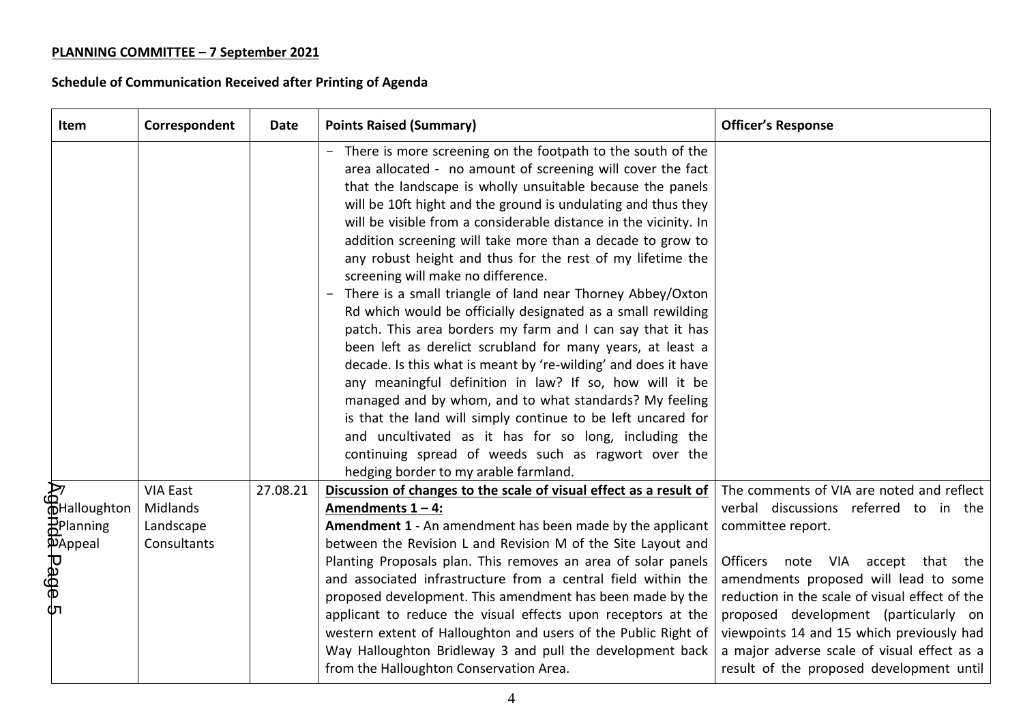| <b>Item</b>                                        | Correspondent         | <b>Date</b> | <b>Points Raised (Summary)</b>                                                                                                                                                                                                                                                                                                                                                                                                                                                                                                                                                                                                                                                                                                                                                                                                                                                                                                                                                                                                                                                                                                                                              | <b>Officer's Response</b>                                                                                                                                                                                                                                                                                               |
|----------------------------------------------------|-----------------------|-------------|-----------------------------------------------------------------------------------------------------------------------------------------------------------------------------------------------------------------------------------------------------------------------------------------------------------------------------------------------------------------------------------------------------------------------------------------------------------------------------------------------------------------------------------------------------------------------------------------------------------------------------------------------------------------------------------------------------------------------------------------------------------------------------------------------------------------------------------------------------------------------------------------------------------------------------------------------------------------------------------------------------------------------------------------------------------------------------------------------------------------------------------------------------------------------------|-------------------------------------------------------------------------------------------------------------------------------------------------------------------------------------------------------------------------------------------------------------------------------------------------------------------------|
|                                                    |                       |             | - There is more screening on the footpath to the south of the<br>area allocated - no amount of screening will cover the fact<br>that the landscape is wholly unsuitable because the panels<br>will be 10ft hight and the ground is undulating and thus they<br>will be visible from a considerable distance in the vicinity. In<br>addition screening will take more than a decade to grow to<br>any robust height and thus for the rest of my lifetime the<br>screening will make no difference.<br>There is a small triangle of land near Thorney Abbey/Oxton<br>Rd which would be officially designated as a small rewilding<br>patch. This area borders my farm and I can say that it has<br>been left as derelict scrubland for many years, at least a<br>decade. Is this what is meant by 're-wilding' and does it have<br>any meaningful definition in law? If so, how will it be<br>managed and by whom, and to what standards? My feeling<br>is that the land will simply continue to be left uncared for<br>and uncultivated as it has for so long, including the<br>continuing spread of weeds such as ragwort over the<br>hedging border to my arable farmland. |                                                                                                                                                                                                                                                                                                                         |
| A<br>OHalloughton                                  | <b>VIA East</b>       | 27.08.21    | Discussion of changes to the scale of visual effect as a result of                                                                                                                                                                                                                                                                                                                                                                                                                                                                                                                                                                                                                                                                                                                                                                                                                                                                                                                                                                                                                                                                                                          | The comments of VIA are noted and reflect                                                                                                                                                                                                                                                                               |
| <b>P</b> Planning                                  | Midlands<br>Landscape |             | Amendments $1 - 4$ :<br>Amendment 1 - An amendment has been made by the applicant                                                                                                                                                                                                                                                                                                                                                                                                                                                                                                                                                                                                                                                                                                                                                                                                                                                                                                                                                                                                                                                                                           | verbal discussions referred to in the<br>committee report.                                                                                                                                                                                                                                                              |
|                                                    | Consultants           |             | between the Revision L and Revision M of the Site Layout and                                                                                                                                                                                                                                                                                                                                                                                                                                                                                                                                                                                                                                                                                                                                                                                                                                                                                                                                                                                                                                                                                                                |                                                                                                                                                                                                                                                                                                                         |
| <b>AAPPeal</b><br><b>D</b><br><b>P</b><br><b>P</b> |                       |             | Planting Proposals plan. This removes an area of solar panels<br>and associated infrastructure from a central field within the<br>proposed development. This amendment has been made by the<br>applicant to reduce the visual effects upon receptors at the<br>western extent of Halloughton and users of the Public Right of<br>Way Halloughton Bridleway 3 and pull the development back<br>from the Halloughton Conservation Area.                                                                                                                                                                                                                                                                                                                                                                                                                                                                                                                                                                                                                                                                                                                                       | note VIA accept that the<br><b>Officers</b><br>amendments proposed will lead to some<br>reduction in the scale of visual effect of the<br>proposed development (particularly on<br>viewpoints 14 and 15 which previously had<br>a major adverse scale of visual effect as a<br>result of the proposed development until |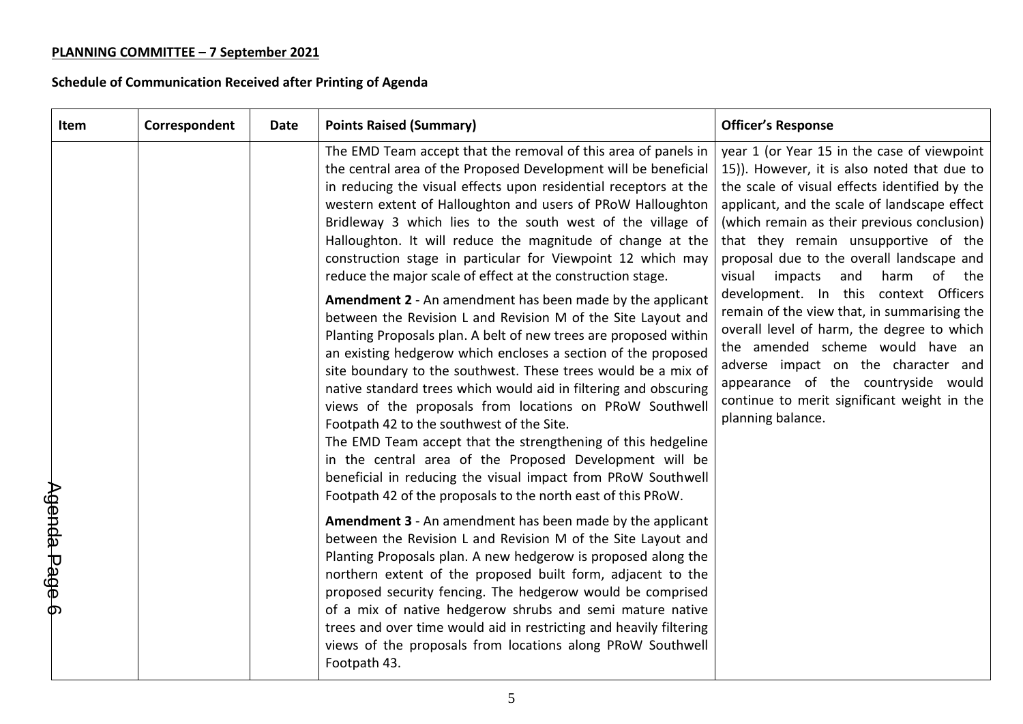| Item          | Correspondent | Date | <b>Points Raised (Summary)</b>                                                                                                                                                                                                                                                                                                                                                                                                                                                                                                                                                                                                                                                                                                                                                                                                                                                                                                                                                                                                                                                                                                                                                                                                                                                                           | <b>Officer's Response</b>                                                                                                                                                                                                                                                                                                                                                                                                                                                                                                                                                                                                                                                                                 |
|---------------|---------------|------|----------------------------------------------------------------------------------------------------------------------------------------------------------------------------------------------------------------------------------------------------------------------------------------------------------------------------------------------------------------------------------------------------------------------------------------------------------------------------------------------------------------------------------------------------------------------------------------------------------------------------------------------------------------------------------------------------------------------------------------------------------------------------------------------------------------------------------------------------------------------------------------------------------------------------------------------------------------------------------------------------------------------------------------------------------------------------------------------------------------------------------------------------------------------------------------------------------------------------------------------------------------------------------------------------------|-----------------------------------------------------------------------------------------------------------------------------------------------------------------------------------------------------------------------------------------------------------------------------------------------------------------------------------------------------------------------------------------------------------------------------------------------------------------------------------------------------------------------------------------------------------------------------------------------------------------------------------------------------------------------------------------------------------|
|               |               |      | The EMD Team accept that the removal of this area of panels in<br>the central area of the Proposed Development will be beneficial<br>in reducing the visual effects upon residential receptors at the<br>western extent of Halloughton and users of PRoW Halloughton<br>Bridleway 3 which lies to the south west of the village of<br>Halloughton. It will reduce the magnitude of change at the<br>construction stage in particular for Viewpoint 12 which may<br>reduce the major scale of effect at the construction stage.<br>Amendment 2 - An amendment has been made by the applicant<br>between the Revision L and Revision M of the Site Layout and<br>Planting Proposals plan. A belt of new trees are proposed within<br>an existing hedgerow which encloses a section of the proposed<br>site boundary to the southwest. These trees would be a mix of<br>native standard trees which would aid in filtering and obscuring<br>views of the proposals from locations on PRoW Southwell<br>Footpath 42 to the southwest of the Site.<br>The EMD Team accept that the strengthening of this hedgeline<br>in the central area of the Proposed Development will be<br>beneficial in reducing the visual impact from PRoW Southwell<br>Footpath 42 of the proposals to the north east of this PRoW. | year 1 (or Year 15 in the case of viewpoint<br>15)). However, it is also noted that due to<br>the scale of visual effects identified by the<br>applicant, and the scale of landscape effect<br>(which remain as their previous conclusion)<br>that they remain unsupportive of the<br>proposal due to the overall landscape and<br>of the<br>visual<br>impacts<br>and<br>harm<br>development. In this context Officers<br>remain of the view that, in summarising the<br>overall level of harm, the degree to which<br>the amended scheme would have an<br>adverse impact on the character and<br>appearance of the countryside would<br>continue to merit significant weight in the<br>planning balance. |
| Agenda Page 6 |               |      | <b>Amendment 3</b> - An amendment has been made by the applicant<br>between the Revision L and Revision M of the Site Layout and<br>Planting Proposals plan. A new hedgerow is proposed along the<br>northern extent of the proposed built form, adjacent to the<br>proposed security fencing. The hedgerow would be comprised<br>of a mix of native hedgerow shrubs and semi mature native<br>trees and over time would aid in restricting and heavily filtering<br>views of the proposals from locations along PRoW Southwell<br>Footpath 43.                                                                                                                                                                                                                                                                                                                                                                                                                                                                                                                                                                                                                                                                                                                                                          |                                                                                                                                                                                                                                                                                                                                                                                                                                                                                                                                                                                                                                                                                                           |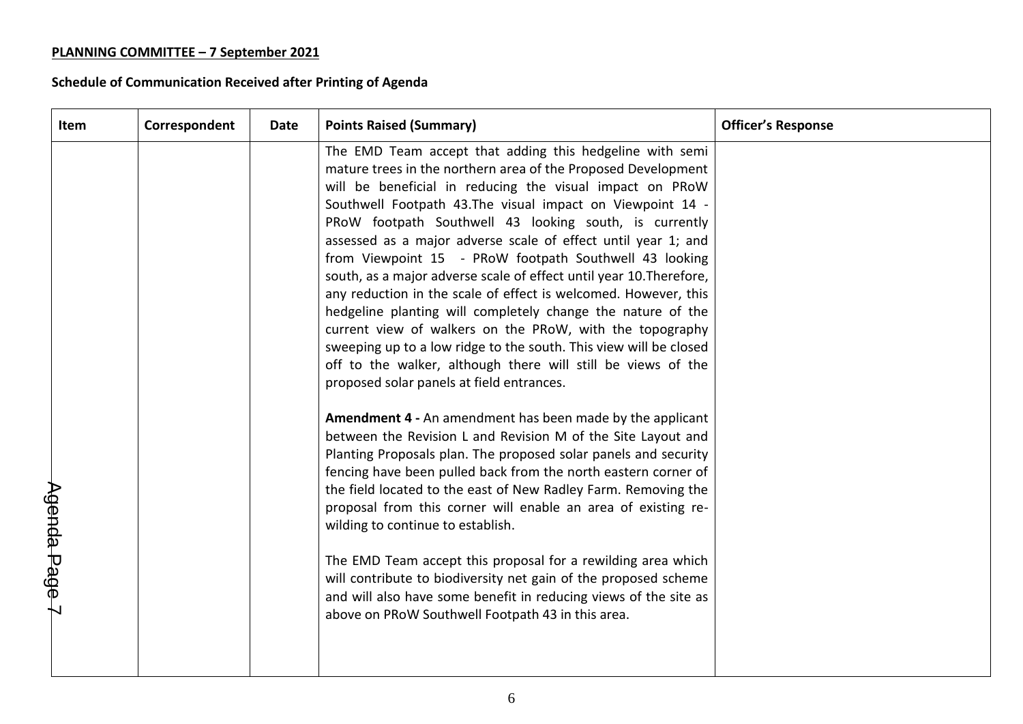| Item                   | Correspondent | Date | <b>Points Raised (Summary)</b>                                                                                                                                                                                                                                                                                                                                                                                                                                                                                                                                                                                                                                                                                                                                                                                                                                                                                                                                                                                                                                                                                                                                                                                                                                                                                                                                                                                                                                                                                                                                                                        | <b>Officer's Response</b> |
|------------------------|---------------|------|-------------------------------------------------------------------------------------------------------------------------------------------------------------------------------------------------------------------------------------------------------------------------------------------------------------------------------------------------------------------------------------------------------------------------------------------------------------------------------------------------------------------------------------------------------------------------------------------------------------------------------------------------------------------------------------------------------------------------------------------------------------------------------------------------------------------------------------------------------------------------------------------------------------------------------------------------------------------------------------------------------------------------------------------------------------------------------------------------------------------------------------------------------------------------------------------------------------------------------------------------------------------------------------------------------------------------------------------------------------------------------------------------------------------------------------------------------------------------------------------------------------------------------------------------------------------------------------------------------|---------------------------|
| $\lambda$ genda Page 7 |               |      | The EMD Team accept that adding this hedgeline with semi<br>mature trees in the northern area of the Proposed Development<br>will be beneficial in reducing the visual impact on PRoW<br>Southwell Footpath 43. The visual impact on Viewpoint 14 -<br>PRoW footpath Southwell 43 looking south, is currently<br>assessed as a major adverse scale of effect until year 1; and<br>from Viewpoint 15 - PRoW footpath Southwell 43 looking<br>south, as a major adverse scale of effect until year 10. Therefore,<br>any reduction in the scale of effect is welcomed. However, this<br>hedgeline planting will completely change the nature of the<br>current view of walkers on the PRoW, with the topography<br>sweeping up to a low ridge to the south. This view will be closed<br>off to the walker, although there will still be views of the<br>proposed solar panels at field entrances.<br>Amendment 4 - An amendment has been made by the applicant<br>between the Revision L and Revision M of the Site Layout and<br>Planting Proposals plan. The proposed solar panels and security<br>fencing have been pulled back from the north eastern corner of<br>the field located to the east of New Radley Farm. Removing the<br>proposal from this corner will enable an area of existing re-<br>wilding to continue to establish.<br>The EMD Team accept this proposal for a rewilding area which<br>will contribute to biodiversity net gain of the proposed scheme<br>and will also have some benefit in reducing views of the site as<br>above on PRoW Southwell Footpath 43 in this area. |                           |
|                        |               |      |                                                                                                                                                                                                                                                                                                                                                                                                                                                                                                                                                                                                                                                                                                                                                                                                                                                                                                                                                                                                                                                                                                                                                                                                                                                                                                                                                                                                                                                                                                                                                                                                       |                           |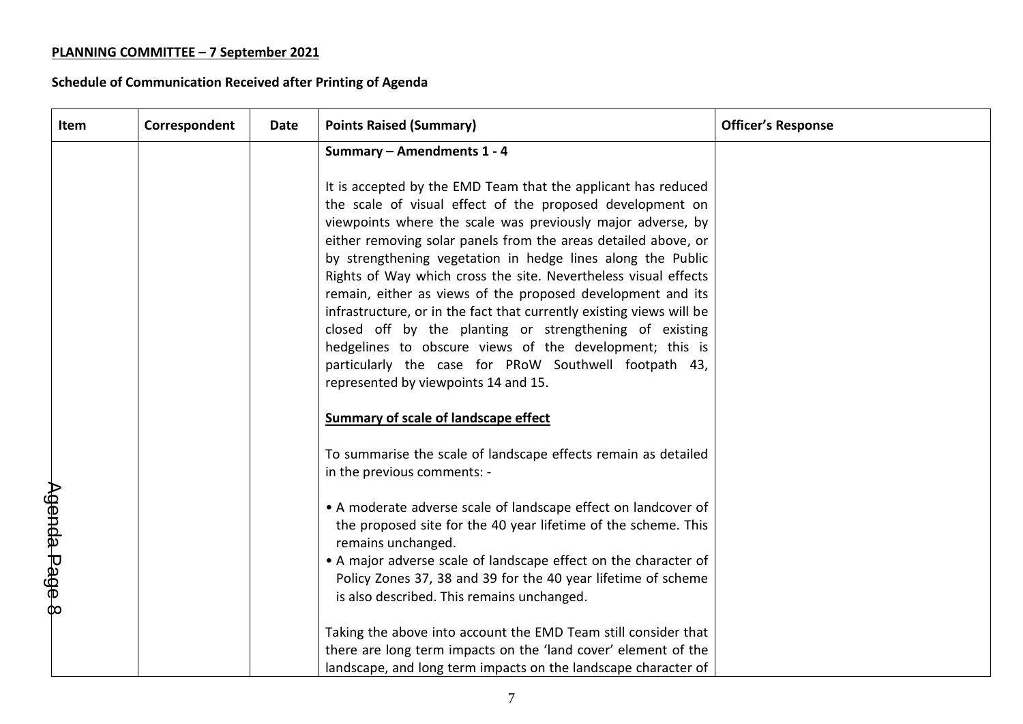| Item          | Correspondent | Date | <b>Points Raised (Summary)</b>                                                                                                                                                                                                                                                                                                                                                                                                                                                                                                                                                                                                                                                                                                                              | <b>Officer's Response</b> |
|---------------|---------------|------|-------------------------------------------------------------------------------------------------------------------------------------------------------------------------------------------------------------------------------------------------------------------------------------------------------------------------------------------------------------------------------------------------------------------------------------------------------------------------------------------------------------------------------------------------------------------------------------------------------------------------------------------------------------------------------------------------------------------------------------------------------------|---------------------------|
|               |               |      | Summary - Amendments 1 - 4                                                                                                                                                                                                                                                                                                                                                                                                                                                                                                                                                                                                                                                                                                                                  |                           |
|               |               |      | It is accepted by the EMD Team that the applicant has reduced<br>the scale of visual effect of the proposed development on<br>viewpoints where the scale was previously major adverse, by<br>either removing solar panels from the areas detailed above, or<br>by strengthening vegetation in hedge lines along the Public<br>Rights of Way which cross the site. Nevertheless visual effects<br>remain, either as views of the proposed development and its<br>infrastructure, or in the fact that currently existing views will be<br>closed off by the planting or strengthening of existing<br>hedgelines to obscure views of the development; this is<br>particularly the case for PRoW Southwell footpath 43,<br>represented by viewpoints 14 and 15. |                           |
|               |               |      | <b>Summary of scale of landscape effect</b>                                                                                                                                                                                                                                                                                                                                                                                                                                                                                                                                                                                                                                                                                                                 |                           |
|               |               |      | To summarise the scale of landscape effects remain as detailed<br>in the previous comments: -                                                                                                                                                                                                                                                                                                                                                                                                                                                                                                                                                                                                                                                               |                           |
|               |               |      | • A moderate adverse scale of landscape effect on landcover of<br>the proposed site for the 40 year lifetime of the scheme. This<br>remains unchanged.                                                                                                                                                                                                                                                                                                                                                                                                                                                                                                                                                                                                      |                           |
| Agenda Page 8 |               |      | • A major adverse scale of landscape effect on the character of<br>Policy Zones 37, 38 and 39 for the 40 year lifetime of scheme<br>is also described. This remains unchanged.                                                                                                                                                                                                                                                                                                                                                                                                                                                                                                                                                                              |                           |
|               |               |      | Taking the above into account the EMD Team still consider that<br>there are long term impacts on the 'land cover' element of the<br>landscape, and long term impacts on the landscape character of                                                                                                                                                                                                                                                                                                                                                                                                                                                                                                                                                          |                           |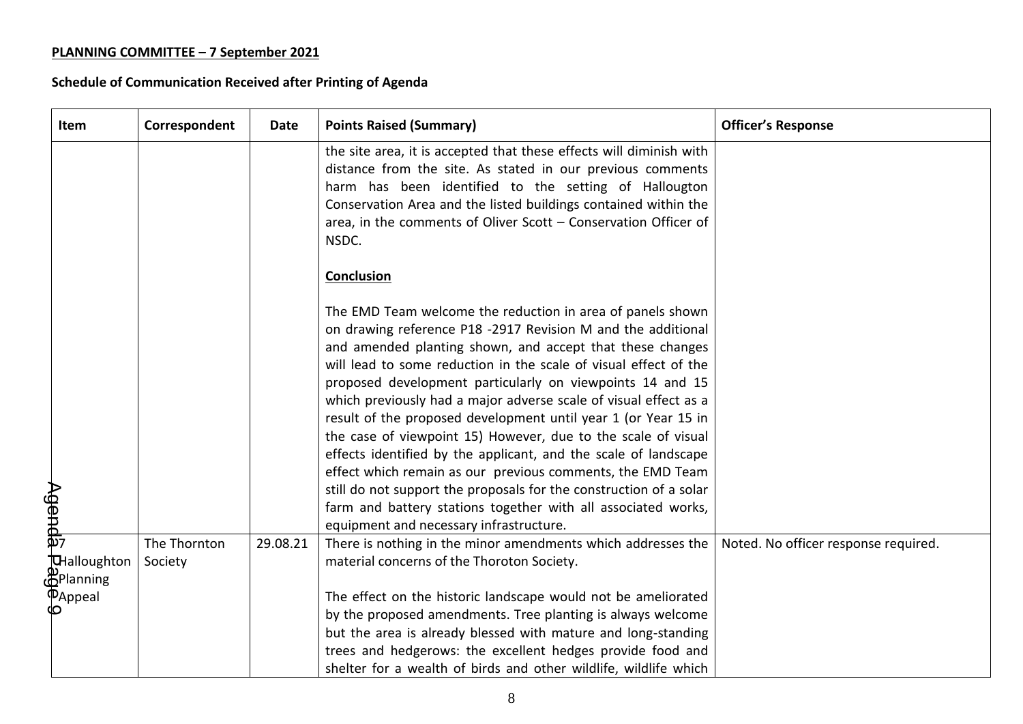| Item                                                | Correspondent           | Date     | <b>Points Raised (Summary)</b>                                                                                                                                                                                                                                                                                                                                                                                                                                                                                                                                                                                                                                                                                                                                                                                                                     | <b>Officer's Response</b>            |
|-----------------------------------------------------|-------------------------|----------|----------------------------------------------------------------------------------------------------------------------------------------------------------------------------------------------------------------------------------------------------------------------------------------------------------------------------------------------------------------------------------------------------------------------------------------------------------------------------------------------------------------------------------------------------------------------------------------------------------------------------------------------------------------------------------------------------------------------------------------------------------------------------------------------------------------------------------------------------|--------------------------------------|
|                                                     |                         |          | the site area, it is accepted that these effects will diminish with<br>distance from the site. As stated in our previous comments<br>harm has been identified to the setting of Hallougton<br>Conservation Area and the listed buildings contained within the<br>area, in the comments of Oliver Scott - Conservation Officer of<br>NSDC.                                                                                                                                                                                                                                                                                                                                                                                                                                                                                                          |                                      |
|                                                     |                         |          | <b>Conclusion</b>                                                                                                                                                                                                                                                                                                                                                                                                                                                                                                                                                                                                                                                                                                                                                                                                                                  |                                      |
| Agenda                                              |                         |          | The EMD Team welcome the reduction in area of panels shown<br>on drawing reference P18 -2917 Revision M and the additional<br>and amended planting shown, and accept that these changes<br>will lead to some reduction in the scale of visual effect of the<br>proposed development particularly on viewpoints 14 and 15<br>which previously had a major adverse scale of visual effect as a<br>result of the proposed development until year 1 (or Year 15 in<br>the case of viewpoint 15) However, due to the scale of visual<br>effects identified by the applicant, and the scale of landscape<br>effect which remain as our previous comments, the EMD Team<br>still do not support the proposals for the construction of a solar<br>farm and battery stations together with all associated works,<br>equipment and necessary infrastructure. |                                      |
| THalloughton<br><b>ம்</b><br>மு <sup>Planning</sup> | The Thornton<br>Society | 29.08.21 | There is nothing in the minor amendments which addresses the<br>material concerns of the Thoroton Society.<br>The effect on the historic landscape would not be ameliorated                                                                                                                                                                                                                                                                                                                                                                                                                                                                                                                                                                                                                                                                        | Noted. No officer response required. |
| $\overline{\Phi}_{\text{Appeal}}$                   |                         |          | by the proposed amendments. Tree planting is always welcome<br>but the area is already blessed with mature and long-standing<br>trees and hedgerows: the excellent hedges provide food and<br>shelter for a wealth of birds and other wildlife, wildlife which                                                                                                                                                                                                                                                                                                                                                                                                                                                                                                                                                                                     |                                      |